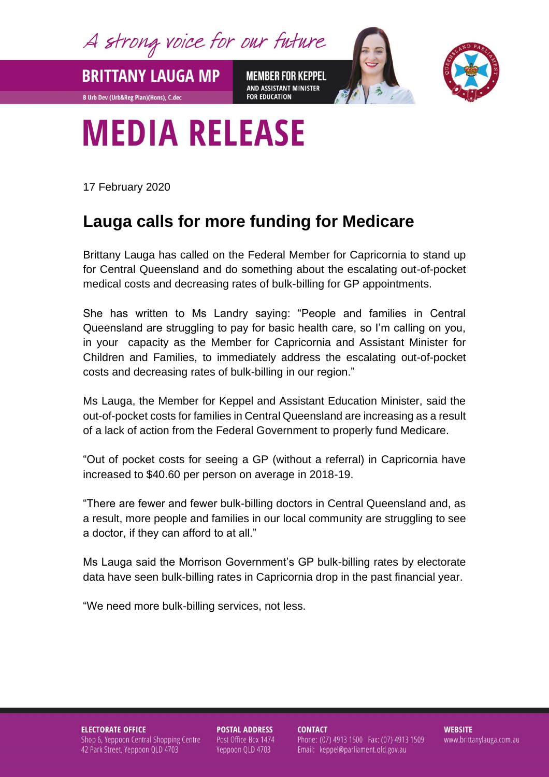A strong voice for our future

**MEMBER FOR KEPPEL** AND ASSISTANT MINISTER **FOR EDUCATION** 



## **MEDIA RELEASE**

17 February 2020

**BRITTANY LAUGA MP** 

**B Urb Dev (Urb&Reg Plan)(Hons), C.dec** 

## **Lauga calls for more funding for Medicare**

Brittany Lauga has called on the Federal Member for Capricornia to stand up for Central Queensland and do something about the escalating out-of-pocket medical costs and decreasing rates of bulk-billing for GP appointments.

She has written to Ms Landry saying: "People and families in Central Queensland are struggling to pay for basic health care, so I'm calling on you, in your capacity as the Member for Capricornia and Assistant Minister for Children and Families, to immediately address the escalating out-of-pocket costs and decreasing rates of bulk-billing in our region."

Ms Lauga, the Member for Keppel and Assistant Education Minister, said the out-of-pocket costs for families in Central Queensland are increasing as a result of a lack of action from the Federal Government to properly fund Medicare.

"Out of pocket costs for seeing a GP (without a referral) in Capricornia have increased to \$40.60 per person on average in 2018-19.

"There are fewer and fewer bulk-billing doctors in Central Queensland and, as a result, more people and families in our local community are struggling to see a doctor, if they can afford to at all."

Ms Lauga said the Morrison Government's GP bulk-billing rates by electorate data have seen bulk-billing rates in Capricornia drop in the past financial year.

"We need more bulk-billing services, not less.

**ELECTORATE OFFICE** Shop 6, Yeppoon Central Shopping Centre 42 Park Street, Yeppoon QLD 4703

**POSTAL ADDRESS** Post Office Box 1474 Yeppoon QLD 4703

**CONTACT** Phone: (07) 4913 1500 Fax: (07) 4913 1509 Email: keppel@parliament.qld.gov.au

**WEBSITE** www.brittanylauga.com.au